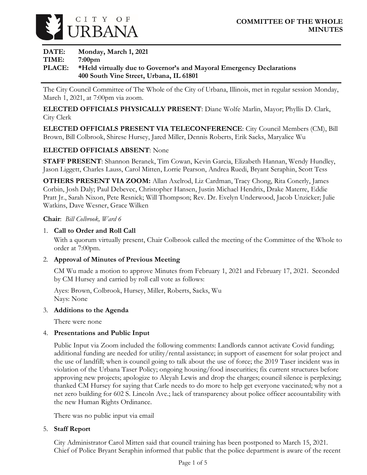

**DATE: Monday, March 1, 2021 TIME: 7:00pm PLACE: \*Held virtually due to Governor's and Mayoral Emergency Declarations 400 South Vine Street, Urbana, IL 61801**

The City Council Committee of The Whole of the City of Urbana, Illinois, met in regular session Monday, March 1, 2021, at 7:00pm via zoom.

**ELECTED OFFICIALS PHYSICALLY PRESENT**: Diane Wolfe Marlin, Mayor; Phyllis D. Clark, City Clerk

**ELECTED OFFICIALS PRESENT VIA TELECONFERENCE**: City Council Members (CM), Bill Brown, Bill Colbrook, Shirese Hursey, Jared Miller, Dennis Roberts, Erik Sacks, Maryalice Wu

## **ELECTED OFFICIALS ABSENT**: None

**STAFF PRESENT**: Shannon Beranek, Tim Cowan, Kevin Garcia, Elizabeth Hannan, Wendy Hundley, Jason Liggett, Charles Lauss, Carol Mitten, Lorrie Pearson, Andrea Ruedi, Bryant Seraphin, Scott Tess

**OTHERS PRESENT VIA ZOOM:** Allan Axelrod, Liz Cardman, Tracy Chong, Rita Conerly, James Corbin, Josh Daly; Paul Debevec, Christopher Hansen, Justin Michael Hendrix, Drake Materre, Eddie Pratt Jr., Sarah Nixon, Pete Resnick; Will Thompson; Rev. Dr. Evelyn Underwood, Jacob Unzicker; Julie Watkins, Dave Wesner, Grace Wilken

**Chair**: *Bill Colbrook, Ward 6*

#### 1. **Call to Order and Roll Call**

With a quorum virtually present, Chair Colbrook called the meeting of the Committee of the Whole to order at 7:00pm.

#### 2. **Approval of Minutes of Previous Meeting**

CM Wu made a motion to approve Minutes from February 1, 2021 and February 17, 2021. Seconded by CM Hursey and carried by roll call vote as follows:

Ayes: Brown, Colbrook, Hursey, Miller, Roberts, Sacks, Wu Nays: None

#### 3. **Additions to the Agenda**

There were none

#### 4. **Presentations and Public Input**

Public Input via Zoom included the following comments: Landlords cannot activate Covid funding; additional funding are needed for utility/rental assistance; in support of easement for solar project and the use of landfill; when is council going to talk about the use of force; the 2019 Taser incident was in violation of the Urbana Taser Policy; ongoing housing/food insecurities; fix current structures before approving new projects; apologize to Aleyah Lewis and drop the charges; council silence is perplexing; thanked CM Hursey for saying that Carle needs to do more to help get everyone vaccinated; why not a net zero building for 602 S. Lincoln Ave.; lack of transparency about police officer accountability with the new Human Rights Ordinance.

There was no public input via email

#### 5. **Staff Report**

City Administrator Carol Mitten said that council training has been postponed to March 15, 2021. Chief of Police Bryant Seraphin informed that public that the police department is aware of the recent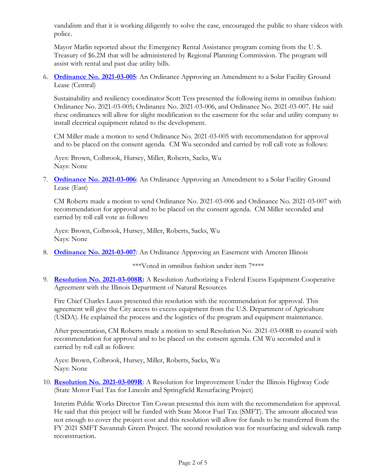vandalism and that it is working diligently to solve the case, encouraged the public to share videos with police.

Mayor Marlin reported about the Emergency Rental Assistance program coming from the U. S. Treasury of \$6.2M that will be administered by Regional Planning Commission. The program will assist with rental and past due utility bills.

6. **[Ordinance No. 2021-03-005](https://urbanaillinois.us/sites/default/files/attachments/Ordinances_2021-03-005_2021-03-006_and_2021-03-007_all.pdf)**: An Ordinance Approving an Amendment to a Solar Facility Ground Lease (Central)

Sustainability and resiliency coordinator Scott Tess presented the following items in omnibus fashion: Ordinance No. 2021-03-005; Ordinance No. 2021-03-006, and Ordinance No. 2021-03-007. He said these ordinances will allow for slight modification to the easement for the solar and utility company to install electrical equipment related to the development.

CM Miller made a motion to send Ordinance No. 2021-03-005 with recommendation for approval and to be placed on the consent agenda. CM Wu seconded and carried by roll call vote as follows:

Ayes: Brown, Colbrook, Hursey, Miller, Roberts, Sacks, Wu Nays: None

7. **[Ordinance No. 2021-03-006](https://urbanaillinois.us/sites/default/files/attachments/Ordinances_2021-03-005_2021-03-006_and_2021-03-007_all.pdf)**: An Ordinance Approving an Amendment to a Solar Facility Ground Lease (East)

CM Roberts made a motion to send Ordinance No. 2021-03-006 and Ordinance No. 2021-03-007 with recommendation for approval and to be placed on the consent agenda. CM Miller seconded and carried by roll call vote as follows:

Ayes: Brown, Colbrook, Hursey, Miller, Roberts, Sacks, Wu Nays: None

8. **[Ordinance No. 2021-03-007](https://urbanaillinois.us/sites/default/files/attachments/Ordinances_2021-03-005_2021-03-006_and_2021-03-007_all.pdf)**: An Ordinance Approving an Easement with Ameren Illinois

\*\*\*Voted in omnibus fashion under item 7\*\*\*\*

9. **[Resolution No. 2021-03-008R:](https://urbanaillinois.us/sites/default/files/attachments/Resolution_2021-03-008R_all.pdf)** A Resolution Authorizing a Federal Excess Equipment Cooperative Agreement with the Illinois Department of Natural Resources

Fire Chief Charles Lauss presented this resolution with the recommendation for approval. This agreement will give the City access to excess equipment from the U.S. Department of Agriculture (USDA). He explained the process and the logistics of the program and equipment maintenance.

After presentation, CM Roberts made a motion to send Resolution No. 2021-03-008R to council with recommendation for approval and to be placed on the consent agenda. CM Wu seconded and it carried by roll call as follows:

Ayes: Brown, Colbrook, Hursey, Miller, Roberts, Sacks, Wu Nays: None

10. **[Resolution No. 2021-03-009R](https://urbanaillinois.us/sites/default/files/attachments/Resolution_2021-03-009R_all.pdf)**: A Resolution for Improvement Under the Illinois Highway Code (State Motor Fuel Tax for Lincoln and Springfield Resurfacing Project)

Interim Public Works Director Tim Cowan presented this item with the recommendation for approval. He said that this project will be funded with State Motor Fuel Tax (SMFT). The amount allocated was not enough to cover the project cost and this resolution will allow for funds to be transferred from the FY 2021 SMFT Savannah Green Project. The second resolution was for resurfacing and sidewalk ramp reconstruction.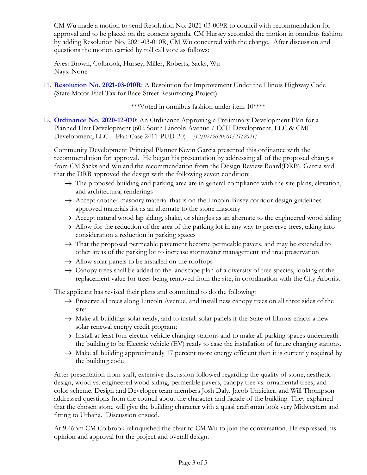CM Wu made a motion to send Resolution No. 2021-03-009R to council with recommendation for approval and to be placed on the consent agenda. CM Hursey seconded the motion in omnibus fashion by adding Resolution No. 2021-03-010R, CM Wu concurred with the change. After discussion and questions the motion carried by roll call vote as follows:

Ayes: Brown, Colbrook, Hursey, Miller, Roberts, Sacks, Wu Nays: None

11. **[Resolution No. 2021-03-010R](https://urbanaillinois.us/sites/default/files/attachments/Resolution_2021-03-010R_all.pdf)**: A Resolution for Improvement Under the Illinois Highway Code (State Motor Fuel Tax for Race Street Resurfacing Project)

\*\*\*Voted in omnibus fashion under item 10\*\*\*\*

12. **[Ordinance No. 2020-12-070](https://urbanaillinois.us/sites/default/files/attachments/Ordinances_2020-12-070_and_2020-12-071_PUD.pdf)**: An Ordinance Approving a Preliminary Development Plan for a Planned Unit Development (602 South Lincoln Avenue / CCH Development, LLC & CMH Development, LLC – Plan Case 2411-PUD-20) – *[12/07/2020; 01/25/2021]*

Community Development Principal Planner Kevin Garcia presented this ordinance with the recommendation for approval. He began his presentation by addressing all of the proposed changes from CM Sacks and Wu and the recommendation from the Design Review Board(DRB). Garcia said that the DRB approved the design with the following seven condition:

- $\rightarrow$  The proposed building and parking area are in general compliance with the site plans, elevation, and architectural renderings
- $\rightarrow$  Accept another masonry material that is on the Lincoln-Busey corridor design guidelines approved materials list as an alternate to the stone masonry
- $\rightarrow$  Accept natural wood lap siding, shake, or shingles as an alternate to the engineered wood siding
- $\rightarrow$  Allow for the reduction of the area of the parking lot in any way to preserve trees, taking into consideration a reduction in parking spaces
- $\rightarrow$  That the proposed permeable pavement become permeable pavers, and may be extended to other areas of the parking lot to increase stormwater management and tree preservation
- $\rightarrow$  Allow solar panels to be installed on the rooftops
- $\rightarrow$  Canopy trees shall be added to the landscape plan of a diversity of tree species, looking at the replacement value for trees being removed from the site, in coordination with the City Arborist

The applicant has revised their plans and committed to do the following:

- $\rightarrow$  Preserve all trees along Lincoln Avenue, and install new canopy trees on all three sides of the site;
- $\rightarrow$  Make all buildings solar ready, and to install solar panels if the State of Illinois enacts a new solar renewal energy credit program;
- $\rightarrow$  Install at least four electric vehicle charging stations and to make all parking spaces underneath the building to be Electric vehicle (EV) ready to ease the installation of future charging stations.
- $\rightarrow$  Make all building approximately 17 percent more energy efficient than it is currently required by the building code

After presentation from staff, extensive discussion followed regarding the quality of stone, aesthetic design, wood vs. engineered wood siding, permeable pavers, canopy tree vs. ornamental trees, and color scheme. Design and Developer team members Josh Daly, Jacob Unzicker, and Will Thompson addressed questions from the council about the character and facade of the building. They explained that the chosen stone will give the building character with a quasi craftsman look very Midwestern and fitting to Urbana. Discussion ensued.

At 9:46pm CM Colbrook relinquished the chair to CM Wu to join the conversation. He expressed his opinion and approval for the project and overall design.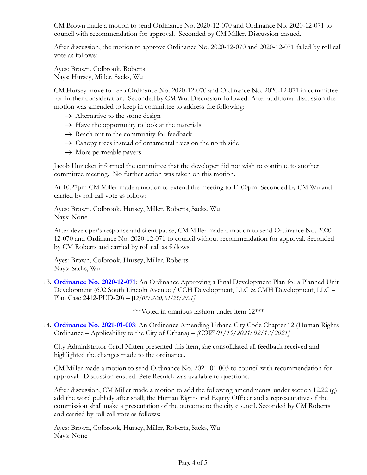CM Brown made a motion to send Ordinance No. 2020-12-070 and Ordinance No. 2020-12-071 to council with recommendation for approval. Seconded by CM Miller. Discussion ensued.

After discussion, the motion to approve Ordinance No. 2020-12-070 and 2020-12-071 failed by roll call vote as follows:

Ayes: Brown, Colbrook, Roberts Nays: Hursey, Miller, Sacks, Wu

CM Hursey move to keep Ordinance No. 2020-12-070 and Ordinance No. 2020-12-071 in committee for further consideration. Seconded by CM Wu. Discussion followed. After additional discussion the motion was amended to keep in committee to address the following:

- $\rightarrow$  Alternative to the stone design
- $\rightarrow$  Have the opportunity to look at the materials
- $\rightarrow$  Reach out to the community for feedback
- $\rightarrow$  Canopy trees instead of ornamental trees on the north side
- $\rightarrow$  More permeable pavers

Jacob Unzicker informed the committee that the developer did not wish to continue to another committee meeting. No further action was taken on this motion.

At 10:27pm CM Miller made a motion to extend the meeting to 11:00pm. Seconded by CM Wu and carried by roll call vote as follow:

Ayes: Brown, Colbrook, Hursey, Miller, Roberts, Sacks, Wu Nays: None

After developer's response and silent pause, CM Miller made a motion to send Ordinance No. 2020- 12-070 and Ordinance No. 2020-12-071 to council without recommendation for approval. Seconded by CM Roberts and carried by roll call as follows:

Ayes: Brown, Colbrook, Hursey, Miller, Roberts Nays: Sacks, Wu

13. **[Ordinance No. 2020-12-071](https://urbanaillinois.us/sites/default/files/attachments/Ordinances_2020-12-070_and_2020-12-071_PUD.pdf)**: An Ordinance Approving a Final Development Plan for a Planned Unit Development (602 South Lincoln Avenue / CCH Development, LLC & CMH Development, LLC – Plan Case 2412-PUD-20) – [1*2/07/2020; 01/25/2021]* 

\*\*\*Voted in omnibus fashion under item 12\*\*\*

14. **[Ordinance No](https://urbanaillinois.us/sites/default/files/attachments/Ordinance_2021-01-003_all_0.pdf)**. **2021-01-003**: An Ordinance Amending Urbana City Code Chapter 12 (Human Rights Ordinance – Applicability to the City of Urbana) – *[COW 01/19/2021; 02/17/2021]* 

City Administrator Carol Mitten presented this item, she consolidated all feedback received and highlighted the changes made to the ordinance.

CM Miller made a motion to send Ordinance No. 2021-01-003 to council with recommendation for approval. Discussion ensued. Pete Resnick was available to questions.

After discussion, CM Miller made a motion to add the following amendments: under section 12.22 (g) add the word publicly after shall; the Human Rights and Equity Officer and a representative of the commission shall make a presentation of the outcome to the city council. Seconded by CM Roberts and carried by roll call vote as follows:

Ayes: Brown, Colbrook, Hursey, Miller, Roberts, Sacks, Wu Nays: None